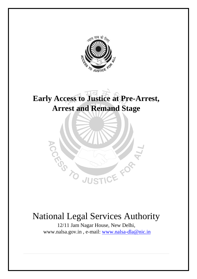

### **Early Access to Justice at Pre-Arrest, Arrest and Remand Stage**



### National Legal Services Authority

12/11 Jam Nagar House, New Delhi, www.nalsa.gov.in , e-mail: [www.nalsa-dla@nic.in](http://www.nalsa-dla@nic.in)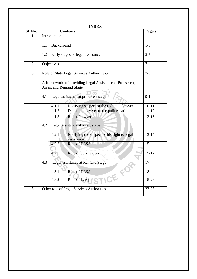| <b>INDEX</b>     |                                                                                            |                                  |                                                           |           |
|------------------|--------------------------------------------------------------------------------------------|----------------------------------|-----------------------------------------------------------|-----------|
| Sl No.           | <b>Contents</b>                                                                            |                                  |                                                           | Page(s)   |
| 1.               |                                                                                            | Introduction                     |                                                           |           |
|                  | Background<br>1.1                                                                          |                                  |                                                           | $1 - 5$   |
|                  | 1.2                                                                                        | Early stages of legal assistance | $5 - 7$                                                   |           |
| 2.               |                                                                                            | Objectives                       |                                                           |           |
| 3.               | Role of State Legal Services Authorities:-                                                 |                                  |                                                           | $7-9$     |
| $\overline{4}$ . | A framework of providing Legal Assistance at Pre-Arrest,<br><b>Arrest and Remand Stage</b> |                                  |                                                           |           |
|                  | Legal assistance at pre-arrest stage<br>4.1                                                |                                  |                                                           | $9-10$    |
|                  |                                                                                            | 4.1.1                            | Notifying suspect of the right to a lawyer                | $10 - 11$ |
|                  |                                                                                            | 4.1.2                            | Deputing a lawyer to the police station                   | $11 - 12$ |
|                  |                                                                                            | 4.1.3                            | Role of lawyer                                            | $12 - 13$ |
|                  | 4.2                                                                                        | Legal assistance at arrest stage |                                                           |           |
|                  |                                                                                            | 4.2.1                            | Notifying the suspect of his right to legal<br>assistance | $13 - 15$ |
|                  |                                                                                            | 4.2.2                            | Role of DLSA                                              | 15        |
|                  |                                                                                            | 4.2.3                            | Role of duty lawyer                                       | $15 - 17$ |
|                  | 4.3                                                                                        | Legal assistance at Remand Stage |                                                           | 17        |
|                  |                                                                                            | 4.3.1                            | Role of DLSA                                              | 18        |
|                  |                                                                                            | 4.3.2                            | Role of Lawyer                                            | 18-23     |
| 5.               | Other role of Legal Services Authorities<br>$23 - 25$                                      |                                  |                                                           |           |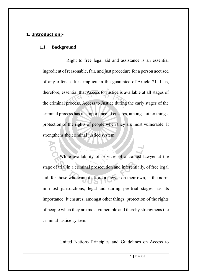### **1. Introduction:**-

#### **1.1. Background**

 Right to free legal aid and assistance is an essential ingredient of reasonable, fair, and just procedure for a person accused of any offence. It is implicit in the guarantee of Article 21. It is, therefore, essential that Access to Justice is available at all stages of the criminal process. Access to Justice during the early stages of the criminal process has its importance. It ensures, amongst other things, protection of the rights of people when they are most vulnerable. It strengthens the criminal justice system.

While availability of services of a trained lawyer at the stage of trial in a criminal prosecution and inferentially, of free legal aid, for those who cannot afford a lawyer on their own, is the norm in most jurisdictions, legal aid during pre-trial stages has its importance. It ensures, amongst other things, protection of the rights of people when they are most vulnerable and thereby strengthens the criminal justice system.

United Nations Principles and Guidelines on Access to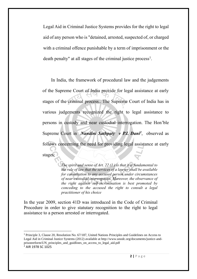Legal Aid in Criminal Justice Systems provides for the right to legal aid of any person who is "detained, arrested, suspected of, or charged with a criminal offence punishable by a term of imprisonment or the death penalty" at all stages of the criminal justice process<sup>1</sup>.

 In India, the framework of procedural law and the judgements of the Supreme Court of India provide for legal assistance at early stages of the criminal process.. The Supreme Court of India has in various judgements recognized the right to legal assistance to persons in custody and near custodial interrogation. The Hon'ble Supreme Court in *Nandini Sathpaty v P.L Dani<sup>2</sup>*, observed as follows concerning the need for providing legal assistance at early stages:

> *The spirit and sense of Art. 22 (1 ) is that it is fundamental to the rule of law that the services of a lawyer shall be available for consultation to any accused person under circumstances of near-custodial interrogation. Moreover, the observance of the right against self-incrimination is best promoted by conceding to the accused the right to consult a legal practitioner of his choice*

In the year 2009, section 41D was introduced in the Code of Criminal Procedure in order to give statutary recognition to the right to legal assistance to a person arrested or interrogated.

**.** 

<sup>1</sup> Principle 3, Clause 20, Resolution No. 67/187, United Nations Principles and Guidelines on Access to Legal Aid in Criminal Justice Systems (2012) available at http://www.unodc.org/documents/justice-andprisonreform/UN\_principles\_and\_guidlines\_on\_access\_to\_legal\_aid.pdf <sup>2</sup> AIR 1978 SC 1025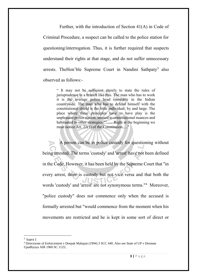Further, with the introduction of Section 41(A) in Code of Criminal Procedure, a suspect can be called to the police station for questioning/interrogation. Thus, it is further required that suspects understand their rights at that stage, and do not suffer unnecessary arrests. The Hon'ble Supreme Court in Nandini Sathpaty<sup>3</sup> also observed as follows:-

> " It may not be sufficient merely to state the rules of jurisprudence in a branch like this. The man who has to work it is the average police head constable in the Indian countryside. The man who has to defend himself with the constitutional shield is the little individual, by and large. The place where these principles have to have play is the unpleasant police station, unused to constitutional nuances and habituated to other strategies.""...... Right at the beginning we must notice Art. 22(1) of the Constitution....."

A person can be in police custody for questioning without being arrested. The terms 'custody' and 'arrest' have not been defined in the Code. However, it has been held by the Supreme Court that "in every arrest, there is custody but not vice versa and that both the words 'custody' and 'arrest' are not synonymous terms."<sup>4</sup> Moreover, "police custody" does not commence only when the accused is formally arrested but "would commence from the moment when his movements are restricted and he is kept in some sort of direct or

 3 Supra 1

<sup>4</sup> Directorate of Enforcement v Deepak Mahajan (1994) 3 SCC 440. Also see State of UP v Deoman Upadhyaya AIR 1960 SC 1125;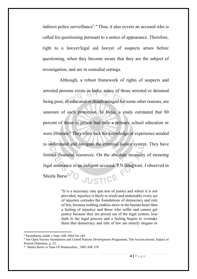indirect police surveillance<sup>5</sup>." Thus, it also covers an accused who is called for questioning pursuant to a notice of appearance. Therefore, right to a lawyer/legal aid lawyer of suspects arises before questioning, when they become aware that they are the subject of investigation, and are in custodial settings.

Although, a robust framework of rights of suspects and arrested persons exists in India, many of those arrested or detained being poor, ill-educated or disadvantaged for some other reasons, are unaware of such protection. In India, a study estimated that 80 percent of those in prison had only a primary school education or were illiterate. <sup>6</sup> They often lack the knowledge or experience needed to understand and navigate the criminal justice system. They have limited financial resources. On the absolute necessity of ensuring legal assistance to an indigent accused, P.N.Bhagwati, J observed in JUSTICE Sheela Barse<sup>7</sup>:

> "It is a necessary sine qua non of justice and where it is not provided, injustice is likely to result and undeniably every act of injustice corrodes the foundations of democracy and rule of law, because nothing rankles more in the human heart than a feeling of injustice and those who suffer and cannot get justice because they are priced out of the legal system, lose faith in the legal process and a feeling begins to overtake them that democracy and rule of law are merely slogans or

1

<sup>5</sup> Paramhansa Jadab v State AIR 1964 Ori 144.

<sup>6</sup> See Open Society foundations and United Nations Development Programme, The Socioeconomic Impact of Pretrial Detention, p. 23

<sup>7</sup> Sheela Barse vs State Of Maharashtra , 1983 AIR 378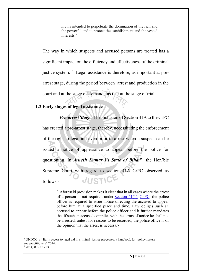myths intended to perpetuate the domination of the rich and the powerful and to protect the establishment and the vested interests."

The way in which suspects and accused persons are treated has a significant impact on the efficiency and effectiveness of the criminal justice system. <sup>8</sup> Legal assistance is therefore, as important at prearrest stage, during the period between arrest and production in the court and at the stage of Remand, as that at the stage of trial.

### **1.2 Early stages of legal assistance**

*Pre-arrest Stage* : The inclusion of Section 41A to the CrPC has created a pre-arrest stage, thereby, necessitating the enforcement of the right to legal aid even prior to arrest when a suspect can be issued a notice of appearance to appear before the police for questioning. In *Arnesh Kumar Vs State of Bihar<sup>9</sup>* the Hon'ble Supreme Court with regard to section 41A CrPC observed as JUSTIC follows:-

> " Aforesaid provision makes it clear that in all cases where the arrest of a person is not required under [Section 41\(1\),](https://indiankanoon.org/doc/1763444/) [Cr.PC,](https://indiankanoon.org/doc/445276/) the police officer is required to issue notice directing the accused to appear before him at a specified place and time. Law obliges such an accused to appear before the police officer and it further mandates that if such an accused complies with the terms of notice he shall not be arrested, unless for reasons to be recorded, the police office is of the opinion that the arrest is necessary."

**.** 

<sup>8</sup> UNDOC's " Early access to legal aid in criminal justice processes: a handbook for policymakers and practitioners" 2014.  $9$  2014) 8 SCC 273.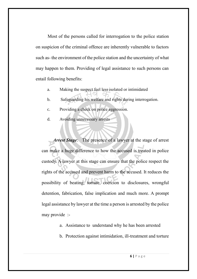Most of the persons called for interrogation to the police station on suspicion of the criminal offence are inherently vulnerable to factors such as- the environment of the police station and the uncertainty of what may happen to them. Providing of legal assistance to such persons can entail following benefits:

- a. Making the suspect feel less isolated or intimidated
- b. Safeguarding his welfare and rights during interrogation.
- c. Providing a check on police aggression.
- d. Avoiding unnecessary arrests

 *Arrest Stage*: The presence of a lawyer at the stage of arrest can make a huge difference to how the accused is treated in police custody. A lawyer at this stage can ensure that the police respect the rights of the accused and prevent harm to the accused. It reduces the possibility of beating, torture, coercion to disclosures, wrongful detention, fabrication, false implication and much more. A prompt legal assistance by lawyer at the time a person is arrested by the police may provide :-

- a. Assistance to understand why he has been arrested
- b. Protection against intimidation, ill-treatment and torture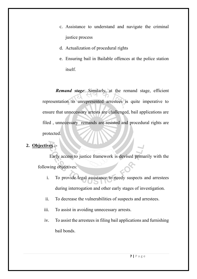- c. Assistance to understand and navigate the criminal justice process
- d. Actualization of procedural rights
- e. Ensuring bail in Bailable offences at the police station itself.

 *Remand stage*: Similarly, at the remand stage, efficient representation to unrepresented arrestees is quite imperative to ensure that unnecessary arrests are challenged, bail applications are filed , unnecessary remands are resisted and procedural rights are protected.

### **2. Objectives :-**

 Early access to justice framework is devised primarily with the following objectives:

- i. To provide legal assistance to needy suspects and arrestees during interrogation and other early stages of investigation.
- ii. To decrease the vulnerabilities of suspects and arrestees.
- iii. To assist in avoiding unnecessary arrests.
- iv. To assist the arrestees in filing bail applications and furnishing bail bonds.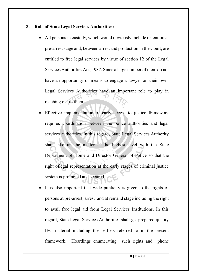### **3. Role of State Legal Services Authorities:-**

- All persons in custody, which would obviously include detention at pre-arrest stage and, between arrest and production in the Court, are entitled to free legal services by virtue of section 12 of the Legal Services Authorities Act, 1987. Since a large number of them do not have an opportunity or means to engage a lawyer on their own, Legal Services Authorities have an important role to play in reaching out to them.
- Effective implementation of early access to justice framework requires coordination between the police authorities and legal services authorities. In this regard, State Legal Services Authority shall take up the matter at the highest level with the State Department of Home and Director General of Police so that the right oflegal representation at the early stages of criminal justice system is promoted and secured.
- It is also important that wide publicity is given to the rights of persons at pre-arrest, arrest and at remand stage including the right to avail free legal aid from Legal Services Institutions. In this regard, State Legal Services Authorities shall get prepared quality IEC material including the leaflets referred to in the present framework. Hoardings enumerating such rights and phone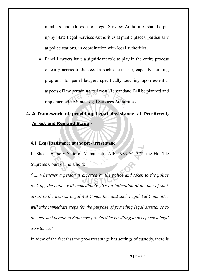numbers and addresses of Legal Services Authorities shall be put up by State Legal Services Authorities at public places, particularly at police stations, in coordination with local authorities.

• Panel Lawyers have a significant role to play in the entire process of early access to Justice. In such a scenario, capacity building programs for panel lawyers specifically touching upon essential aspects of law pertaining to Arrest, Remandand Bail be planned and implemented by State Legal Services Authorities.

### **4. A framework of providing Legal Assistance at Pre-Arrest, Arrest and Remand Stage**:-

### **4.1 Legal assistance at the pre-arrest stage:**

In Sheela Barse v State of Maharashtra AIR 1983 SC 378, the Hon'ble Supreme Court of India held:

*"..... whenever a person is arrested by the police and taken to the police lock up, the police will immediately give an intimation of the fact of such arrest to the nearest Legal Aid Committee and such Legal Aid Committee will take immediate steps for the purpose of providing legal assistance to the arrested person at State cost provided he is willing to accept such legal assistance."*

In view of the fact that the pre-arrest stage has settings of custody, there is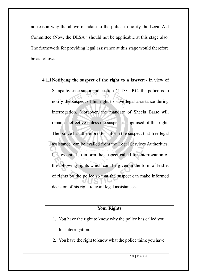no reason why the above mandate to the police to notify the Legal Aid Committee (Now, the DLSA ) should not be applicable at this stage also. The framework for providing legal assistance at this stage would therefore be as follows :

**4.1.1Notifying the suspect of the right to a lawyer**:- In view of Satapathy case supra and section 41 D Cr.P.C, the police is to notify the suspect of his right to have legal assistance during interrogation. Moreover, the mandate of Sheela Barse will remain ineffective unless the suspect is appraised of this right. The police has ,therefore, to inform the suspect that free legal assistance can be availed from the Legal Services Authorities. It is essential to inform the suspect called for interrogation of the following rights which can be given in the form of leaflet of rights by the police so that the suspect can make informed decision of his right to avail legal assistance:-

### **Your Rights**

- 1. You have the right to know why the police has called you for interrogation.
- 2. You have the right to know what the police think you have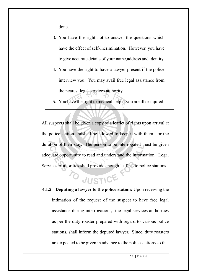done.

- 3. You have the right not to answer the questions which have the effect of self-incrimination. However, you have to give accurate details of your name,address and identity.
- 4. You have the right to have a lawyer present if the police interview you. You may avail free legal assistance from the nearest legal services authority.
- 5. You have the right to medical help if you are ill or injured.

All suspects shall be given a copy of a leaflet of rights upon arrival at the police station andshall be allowed to keep it with them for the duration of their stay. The person to be interrogated must be given adequate opportunity to read and understand the information. Legal Services Authorities shall provide enough leaflets to police stations.

## JUSTICE

**4.1.2 Deputing a lawyer to the police station:** Upon receiving the intimation of the request of the suspect to have free legal assistance during interrogation , the legal services authorities as per the duty roaster prepared with regard to various police stations, shall inform the deputed lawyer. Since, duty roasters are expected to be given in advance to the police stations so that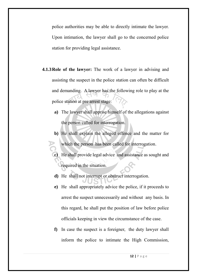police authorities may be able to directly intimate the lawyer. Upon intimation, the lawyer shall go to the concerned police station for providing legal assistance.

- **4.1.3Role of the lawyer:** The work of a lawyer in advising and assisting the suspect in the police station can often be difficult and demanding. A lawyer has the following role to play at the police station at pre arrest stage:
	- **a)** The lawyer shall apprise himself of the allegations against the person called for interrogation.
	- **b)** He shall explain the alleged offence and the matter for which the person has been called for interrogation.
	- He shall provide legal advice and assistance as sought and required in the situation.
	- **d)** He shall not interrupt or obstruct interrogation.
	- **e)** He shall appropriately advice the police, if it proceeds to arrest the suspect unnecessarily and without any basis. In this regard, he shall put the position of law before police officials keeping in view the circumstance of the case.
	- **f)** In case the suspect is a foreigner, the duty lawyer shall inform the police to intimate the High Commission,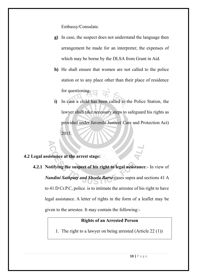Embassy/Consulate.

- **g)** In case, the suspect does not understand the language then arrangement be made for an interpreter, the expenses of which may be borne by the DLSA from Grant in Aid.
- **h)** He shall ensure that women are not called to the police station or to any place other than their place of residence for questioning.
- **i)** In case a child has been called to the Police Station, the lawyer shall take necessary steps to safeguard his rights as provided under Juvenile Justice( Care and Protection Act) 2015.

### **4.2 Legal assistance at the arrest stage:**

**4.2.1 Notifying the suspect of his right to legal assistance**:- In view of *Nandini Sathpaty and Sheela Barse* cases supra and sections 41 A to 41 D Cr.P.C, police is to intimate the arrestee of his right to have legal assistance. A letter of rights in the form of a leaflet may be given to the arrestee. It may contain the following:-

### **Rights of an Arrested Person**

1. The right to a lawyer on being arrested (Article 22 (1))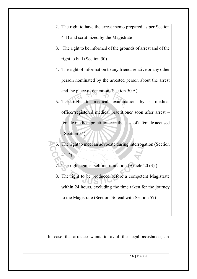- 2. The right to have the arrest memo prepared as per Section 41B and scrutinized by the Magistrate
	- 3. The right to be informed of the grounds of arrest and of the right to bail (Section 50)
- 4. The right of information to any friend, relative or any other person nominated by the arrested person about the arrest and the place of detention (Section 50 A)
- 5. The right to medical examination by a medical officer/registered medical practitioner soon after arrest – female medical practitioner in the case of a female accused ( Section 54)
- 6. The right to meet an advocate during interrogation (Section 41 D)
	- 7. The right against self incrimination (Article 20 (3) )
	- 8. The right to be produced before a competent Magistrate within 24 hours, excluding the time taken for the journey to the Magistrate (Section 56 read with Section 57)

In case the arrestee wants to avail the legal assistance, an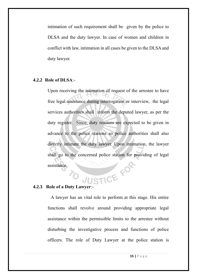intimation of such requirement shall be given by the police to DLSA and the duty lawyer. In case of women and children in conflict with law, intimation in all cases be given to the DLSA and duty lawyer.

### **4.2.2 Role of DLSA**:-

Upon receiving the intimation of request of the arrestee to have free legal assistance during interrogation or interview, the legal services authorities shall inform the deputed lawyer, as per the duty register. Since, duty roasters are expected to be given in advance to the police stations so police authorities shall also directly intimate the duty lawyer. Upon intimation, the lawyer shall go to the concerned police station for providing of legal assistance. **4.2.3 Role of a Duty Lawyer**:-

 A lawyer has an vital role to perform at this stage. His entire functions shall revolve around providing appropriate legal assistance within the permissible limits to the arrestee without disturbing the investigative process and functions of police officers. The role of Duty Lawyer at the police station is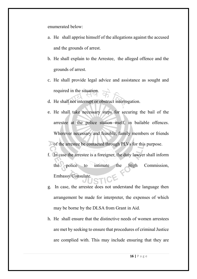enumerated below:

- a. He shall apprise himself of the allegations against the accused and the grounds of arrest.
- b. He shall explain to the Arrestee, the alleged offence and the grounds of arrest.
- c. He shall provide legal advice and assistance as sought and required in the situation.
- d. He shall not interrupt or obstruct interrogation.
- e. He shall take necessary steps for securing the bail of the arrestee at the police station itself, in bailable offences. Wherever necessary and feasible, family members or friends of the arrestee be contacted through PLVs for this purpose.
- f. In case the arrestee is a foreigner, the duty lawyer shall inform the police to intimate the High Commission, Embassy/Consulate.
- g. In case, the arrestee does not understand the language then arrangement be made for interpreter, the expenses of which may be borne by the DLSA from Grant in Aid.
- h. He shall ensure that the distinctive needs of women arrestees are met by seeking to ensure that procedures of criminal Justice are complied with. This may include ensuring that they are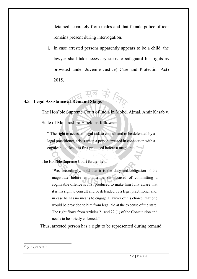detained separately from males and that female police officer remains present during interrogation.

i. In case arrested persons apparently appears to be a child, the lawyer shall take necessary steps to safeguard his rights as provided under Juvenile Justice( Care and Protection Act) 2015.

# **4.3 Legal Assistance at Remand Stage**:-

The Hon'ble Supreme Court of India in Mohd. Ajmal, Amir Kasab v. State of Maharashtra<sup>10</sup> held as follows:

" The right to access to legal aid, to consult and to be defended by a legal practitioner, arises when a person arrested in connection with a cognizable offence is first produced before a magistrate."

The Hon'ble Supreme Court further held

"We, accordingly, hold that it is the duty and obligation of the magistrate before whom a person accused of committing a cognizable offence is first produced to make him fully aware that it is his right to consult and be defended by a legal practitioner and, in case he has no means to engage a lawyer of his choice, that one would be provided to him from legal aid at the expense of the state. The right flows from Articles 21 and 22 (1) of the Constitution and needs to be strictly enforced."

Thus, arrested person has a right to be represented during remand.

1 <sup>10</sup> (2012) 9 SCC 1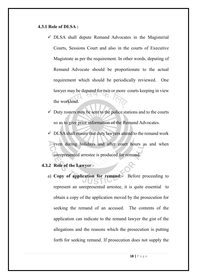### **4.3.1 Role of DLSA :**

- $\checkmark$  DLSA shall depute Remand Advocates in the Magisterial Courts, Sessions Court and also in the courts of Executive Magistrate as per the requirement. In other words, deputing of Remand Advocate should be proportionate to the actual requirement which should be periodically reviewed. One lawyer may be deputed for two or more courts keeping in view the workload.
- $\checkmark$  Duty rosters may be sent to the police stations and to the courts so as to give prior information of the Remand Advocates.
- $\checkmark$  DLSA shall ensure that duty lawyers attend to the remand work even during holidays and after court hours as and when unrepresented arrestee is produced for remand.

### **4.3.2 Role of the Lawyer**:-

a) **Copy of application for remand:-** Before proceeding to represent an unrepresented arrestee, it is quite essential to obtain a copy of the application moved by the prosecution for seeking the remand of an accused. The contents of the application can indicate to the remand lawyer the gist of the allegations and the reasons which the prosecution is putting forth for seeking remand. If prosecution does not supply the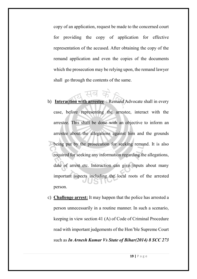copy of an application, request be made to the concerned court for providing the copy of application for effective representation of the accused. After obtaining the copy of the remand application and even the copies of the documents which the prosecution may be relying upon, the remand lawyer shall go through the contents of the same.

- b) **Interaction with arrestee** : Remand Advocate shall in every case, before representing the arrestee, interact with the arrestee. This shall be done with an objective to inform an arrestee about the allegations against him and the grounds being put by the prosecution for seeking remand. It is also required for seeking any information regarding the allegations, date of arrest etc. Interaction can give inputs about many important aspects including the local roots of the arrested person.
- c) **Challenge arrest:** It may happen that the police has arrested a person unnecessarily in a routine manner. In such a scenario, keeping in view section 41 (A) of Code of Criminal Procedure read with important judgements of the Hon'ble Supreme Court such as *In Arnesh Kumar Vs State of Bihar(2014) 8 SCC 273*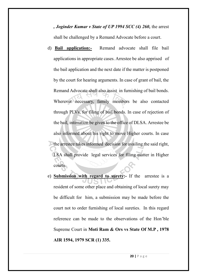*, Joginder Kumar v State of UP 1994 SCC (4) 260,* the arrest shall be challenged by a Remand Advocate before a court.

- d) **Bail application:-** Remand advocate shall file bail applications in appropriate cases. Arrestee be also apprised of the bail application and the next date if the matter is postponed by the court for hearing arguments. In case of grant of bail, the Remand Advocate shall also assist in furnishing of bail bonds. Wherever necessary, family members be also contacted through PLVs, for filing of bail bonds. In case of rejection of the bail, intimation be given to the office of DLSA. Arrestee be also informed about his right to move Higher courts. In case the arrestee takes informed decision for availing the said right, LSA shall provide legal services for filing matter in Higher courts.
- e) **Submission with regard to surety:-** If the arrestee is a resident of some other place and obtaining of local surety may be difficult for him, a submission may be made before the court not to order furnishing of local sureties. In this regard reference can be made to the observations of the Hon'ble Supreme Court in **Moti Ram & Ors vs State Of M.P , 1978 AIR 1594, 1979 SCR (1) 335.**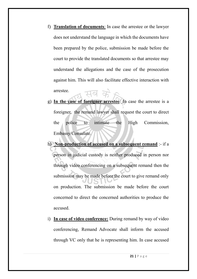- f) **Translation of documents**: In case the arrestee or the lawyer does not understand the language in which the documents have been prepared by the police, submission be made before the court to provide the translated documents so that arrestee may understand the allegations and the case of the prosecution against him. This will also facilitate effective interaction with arrestee.
- g) **In the case of foreigner arrestee**: In case the arrestee is a foreigner, the remand lawyer shall request the court to direct the police to intimate the High Commission, Embassy/Consulate.
- h) **Non-production of accused on a subsequent remand** :- if a person in judicial custody is neither produced in person nor through video conferencing on a subsequent remand then the submission may be made before the court to give remand only on production. The submission be made before the court concerned to direct the concerned authorities to produce the accused.
- i) **In case of video conference:** During remand by way of video conferencing, Remand Advocate shall inform the accused through VC only that he is representing him. In case accused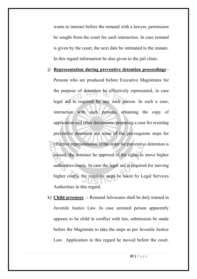wants to interact before the remand with a lawyer, permission be sought from the court for such interaction. In case remand is given by the court, the next date be intimated to the inmate. In this regard information be also given to the jail clinic.

### j) **Representation during preventive detention proceedings**:-

Persons who are produced before Executive Magistrates for the purpose of detention be effectively represented, in case legal aid is required by any such person. In such a case, interaction with such persons, obtaining the copy of application and other documents, preparing a case for resisting preventive detention are some of the pre-requisite steps for effective representation. If the order for preventive detention is passed, the detainee be apprised of his rights to move higher authorities/courts. In case the legal aid is required for moving higher courts, the requisite steps be taken by Legal Services Authorities in this regard.

k) **Child arrestees** :- Remand Advocates shall be duly trained in Juvenile Justice Law. In case arrested person apparently appears to be child in conflict with law, submission be made before the Magistrate to take the steps as per Juvenile Justice Law. Application in this regard be moved before the court.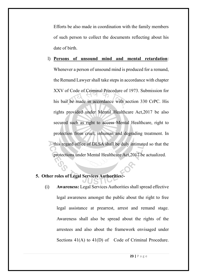Efforts be also made in coordination with the family members of such person to collect the documents reflecting about his date of birth.

l) **Persons of unsound mind and mental retardation**: Whenever a person of unsound mind is produced for a remand, the Remand Lawyer shall take steps in accordance with chapter XXV of Code of Criminal Procedure of 1973. Submission for his bail be made in accordance with section 330 CrPC. His rights provided under Mental Healthcare Act,2017 be also secured such as right to access Mental Healthcare, right to protection from cruel, inhuman and degrading treatment. In this regard office of DLSA shall be duly intimated so that the protections under Mental Healthcare Act,2017 be actualized.

### **5. Other roles of Legal Services Authorities:-**

(i) **Awareness:** Legal Services Authorities shall spread effective legal awareness amongst the public about the right to free legal assistance at prearrest, arrest and remand stage. Awareness shall also be spread about the rights of the arrestees and also about the framework envisaged under Sections 41(A) to 41(D) of Code of Criminal Procedure.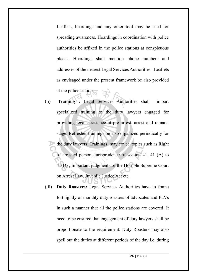Leaflets, hoardings and any other tool may be used for spreading awareness. Hoardings in coordination with police authorities be affixed in the police stations at conspicuous places. Hoardings shall mention phone numbers and addresses of the nearest Legal Services Authorities. Leaflets as envisaged under the present framework be also provided at the police station.

- (ii) **Training :** Legal Services Authorities shall impart specialized training to the duty lawyers engaged for providing legal assistance at pre arrest, arrest and remand stage. Refresher trainings be also organized periodically for the duty lawyers. Trainings may cover topics such as Right of arrested person, jurisprudence of section 41, 41 (A) to 41(D) , important judgments of the Hon'ble Supreme Court on Arrest Law, Juvenile Justice Act etc.
- (iii) **Duty Roasters:** Legal Services Authorities have to frame fortnightly or monthly duty roasters of advocates and PLVs in such a manner that all the police stations are covered. It need to be ensured that engagement of duty lawyers shall be proportionate to the requirement. Duty Roasters may also spell out the duties at different periods of the day i.e. during